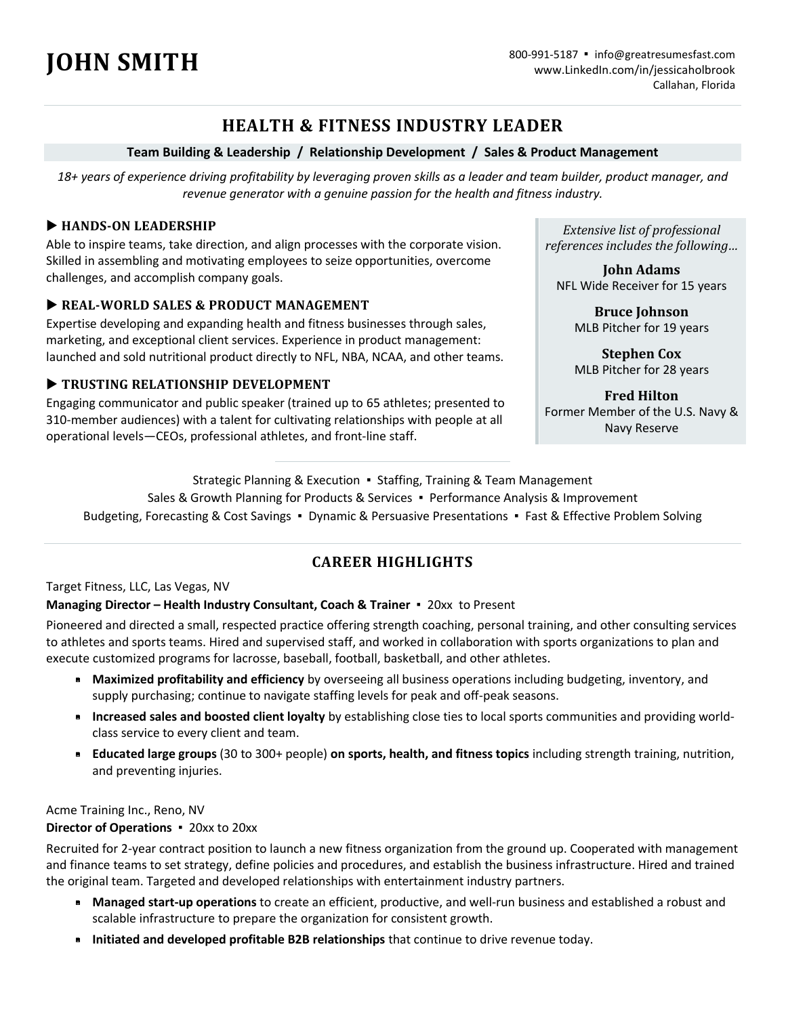# **HEALTH & FITNESS INDUSTRY LEADER**

#### **Team Building & Leadership / Relationship Development / Sales & Product Management**

*18+ years of experience driving profitability by leveraging proven skills as a leader and team builder, product manager, and revenue generator with a genuine passion for the health and fitness industry.* 

#### **EXAMPLE HANDS-ON LEADERSHIP**

Able to inspire teams, take direction, and align processes with the corporate vision. Skilled in assembling and motivating employees to seize opportunities, overcome challenges, and accomplish company goals.

#### **EXAL-WORLD SALES & PRODUCT MANAGEMENT**

Expertise developing and expanding health and fitness businesses through sales, marketing, and exceptional client services. Experience in product management: launched and sold nutritional product directly to NFL, NBA, NCAA, and other teams.

#### **TRUSTING RELATIONSHIP DEVELOPMENT**

Engaging communicator and public speaker (trained up to 65 athletes; presented to 310-member audiences) with a talent for cultivating relationships with people at all operational levels—CEOs, professional athletes, and front-line staff.

*Extensive list of professional references includes the following…*

**John Adams**  NFL Wide Receiver for 15 years

> **Bruce Johnson**  MLB Pitcher for 19 years

> **Stephen Cox**  MLB Pitcher for 28 years

**Fred Hilton**  Former Member of the U.S. Navy & Navy Reserve

Strategic Planning & Execution ▪ Staffing, Training & Team Management

Sales & Growth Planning for Products & Services ▪ Performance Analysis & Improvement

Budgeting, Forecasting & Cost Savings ▪ Dynamic & Persuasive Presentations ▪ Fast & Effective Problem Solving

## **CAREER HIGHLIGHTS**

#### Target Fitness, LLC, Las Vegas, NV

#### **Managing Director – Health Industry Consultant, Coach & Trainer** ▪ 20xx to Present

Pioneered and directed a small, respected practice offering strength coaching, personal training, and other consulting services to athletes and sports teams. Hired and supervised staff, and worked in collaboration with sports organizations to plan and execute customized programs for lacrosse, baseball, football, basketball, and other athletes.

- § **Maximized profitability and efficiency** by overseeing all business operations including budgeting, inventory, and supply purchasing; continue to navigate staffing levels for peak and off-peak seasons.
- § **Increased sales and boosted client loyalty** by establishing close ties to local sports communities and providing worldclass service to every client and team.
- § **Educated large groups** (30 to 300+ people) **on sports, health, and fitness topics** including strength training, nutrition, and preventing injuries.

Acme Training Inc., Reno, NV

#### **Director of Operations** ▪ 20xx to 20xx

Recruited for 2-year contract position to launch a new fitness organization from the ground up. Cooperated with management and finance teams to set strategy, define policies and procedures, and establish the business infrastructure. Hired and trained the original team. Targeted and developed relationships with entertainment industry partners.

- § **Managed start-up operations** to create an efficient, productive, and well-run business and established a robust and scalable infrastructure to prepare the organization for consistent growth.
- § **Initiated and developed profitable B2B relationships** that continue to drive revenue today.